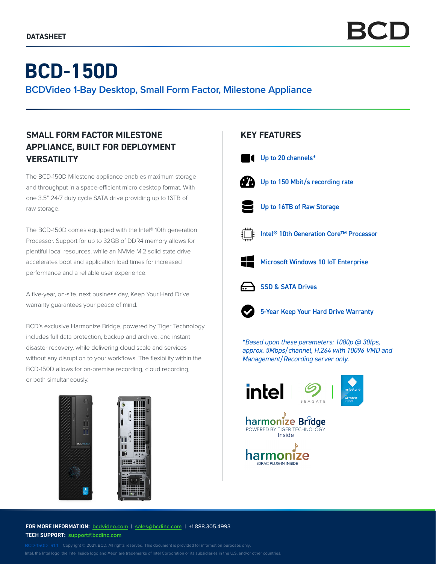# **BCD-150D**

**BCDVideo 1-Bay Desktop, Small Form Factor, Milestone Appliance**

## **SMALL FORM FACTOR MILESTONE APPLIANCE, BUILT FOR DEPLOYMENT VERSATILITY**

The BCD-150D Milestone appliance enables maximum storage and throughput in a space-efficient micro desktop format. With one 3.5" 24/7 duty cycle SATA drive providing up to 16TB of raw storage.

The BCD-150D comes equipped with the Intel® 10th generation Processor. Support for up to 32GB of DDR4 memory allows for plentiful local resources, while an NVMe M.2 solid state drive accelerates boot and application load times for increased performance and a reliable user experience.

A five-year, on-site, next business day, Keep Your Hard Drive warranty guarantees your peace of mind.

BCD's exclusive Harmonize Bridge, powered by Tiger Technology, includes full data protection, backup and archive, and instant disaster recovery, while delivering cloud scale and services without any disruption to your workflows. The flexibility within the BCD-150D allows for on-premise recording, cloud recording, or both simultaneously.



## **KEY FEATURES**



- Up to 150 Mbit/s recording rate
	- - Up to 16TB of Raw Storage
- 

Intel® 10th Generation Core™ Processor



Microsoft Windows 10 IoT Enterprise



SSD & SATA Drives



5-Year Keep Your Hard Drive Warranty

*\*Based upon these parameters: 1080p @ 30fps, approx. 5Mbps/channel, H.264 with 10096 VMD and Management/Recording server only.*





POWERED BY TIGER TECHNOLO

**FOR MORE INFORMATION: bcdvideo.com** | **sales@bcdinc.com** | +1.888.305.4993 **TECH SUPPORT: support@bcdinc.com**

Intel, the Intel logo, the Intel Inside logo and Xeon are trademarks of Intel Corporation or its subsidiaries in the U.S. and/or other countries